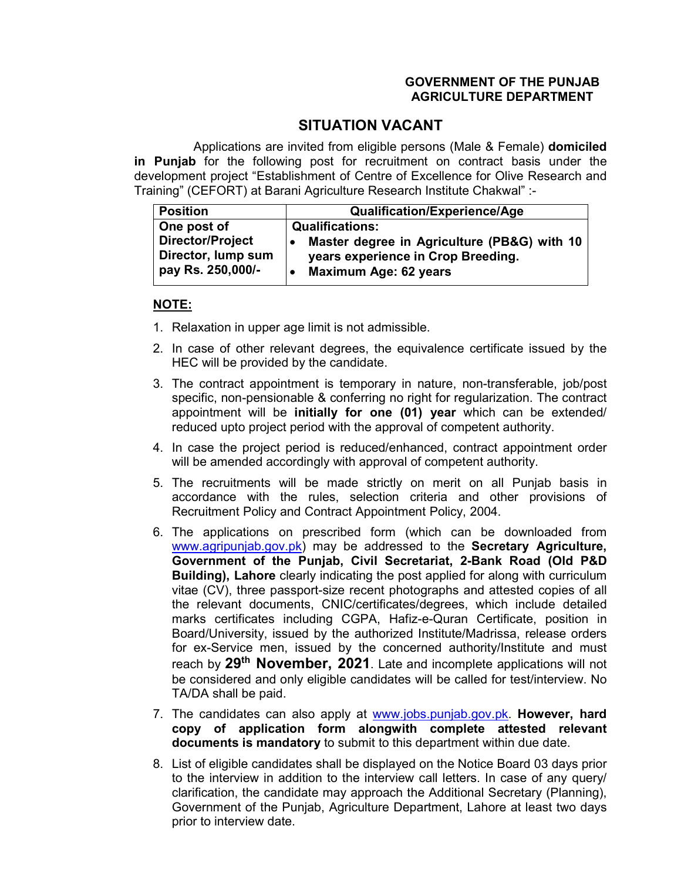## **GOVERNMENT OF THE PUNJAB AGRICULTURE DEPARTMENT**

## **SITUATION VACANT**

Applications are invited from eligible persons (Male & Female) **domiciled in Punjab** for the following post for recruitment on contract basis under the development project "Establishment of Centre of Excellence for Olive Research and Training" (CEFORT) at Barani Agriculture Research Institute Chakwal" :-

| <b>Position</b>                                             | Qualification/Experience/Age                                                                                      |
|-------------------------------------------------------------|-------------------------------------------------------------------------------------------------------------------|
| One post of                                                 | <b>Qualifications:</b>                                                                                            |
| Director/Project<br>Director, lump sum<br>pay Rs. 250,000/- | Master degree in Agriculture (PB&G) with 10<br>years experience in Crop Breeding.<br><b>Maximum Age: 62 years</b> |

## **NOTE:**

- 1. Relaxation in upper age limit is not admissible.
- 2. In case of other relevant degrees, the equivalence certificate issued by the HEC will be provided by the candidate.
- 3. The contract appointment is temporary in nature, non-transferable, job/post specific, non-pensionable & conferring no right for regularization. The contract appointment will be **initially for one (01) year** which can be extended/ reduced upto project period with the approval of competent authority.
- 4. In case the project period is reduced/enhanced, contract appointment order will be amended accordingly with approval of competent authority.
- 5. The recruitments will be made strictly on merit on all Punjab basis in accordance with the rules, selection criteria and other provisions of Recruitment Policy and Contract Appointment Policy, 2004.
- 6. The applications on prescribed form (which can be downloaded from www.agripunjab.gov.pk) may be addressed to the **Secretary Agriculture, Government of the Punjab, Civil Secretariat, 2-Bank Road (Old P&D Building), Lahore** clearly indicating the post applied for along with curriculum vitae (CV), three passport-size recent photographs and attested copies of all the relevant documents, CNIC/certificates/degrees, which include detailed marks certificates including CGPA, Hafiz-e-Quran Certificate, position in Board/University, issued by the authorized Institute/Madrissa, release orders for ex-Service men, issued by the concerned authority/Institute and must reach by **29th November, 2021**. Late and incomplete applications will not be considered and only eligible candidates will be called for test/interview. No TA/DA shall be paid.
- 7. The candidates can also apply at www.jobs.punjab.gov.pk. **However, hard copy of application form alongwith complete attested relevant documents is mandatory** to submit to this department within due date.
- 8. List of eligible candidates shall be displayed on the Notice Board 03 days prior to the interview in addition to the interview call letters. In case of any query/ clarification, the candidate may approach the Additional Secretary (Planning), Government of the Punjab, Agriculture Department, Lahore at least two days prior to interview date.